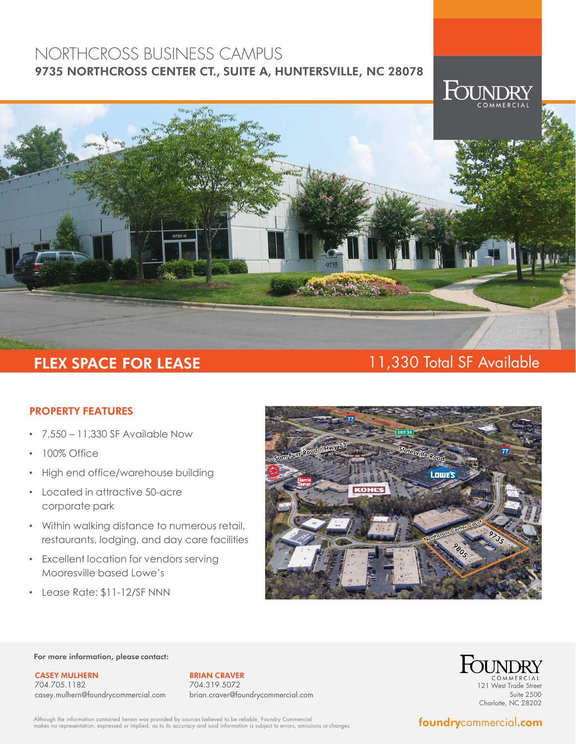# NORTHCROSS BUSINESS CAMPUS 9735 NORTHCROSS CENTER CT., SUITE A, HUNTERSVILLE, NC 28078



# FLEX SPACE FOR LEASE 11,330 Total SF Available

## PROPERTY FEATURES

- 7,550 11,330 SF Available Now
- 100% Office
- High end office/warehouse building
- Located in attractive 50-acre corporate park
- Within walking distance to numerous retail, restaurants, lodging, and day care facilities
- Excellent location for vendors serving Mooresville based Lowe's
- Lease Rate: \$11-12/SF NNN



### For more information, please contact:

CASEY MULHERN 704.705.1182 casey.mulhern@foundrycommercial.com

BRIAN CRAVER 704.319.5072 brian.craver@foundrycommercial.com



Although the information contained herein was provided by sources believed to be reliable, Foundry Commercial<br>makes no representation, expressed or implied, as to its accuracy and said information is subject to errors, omi